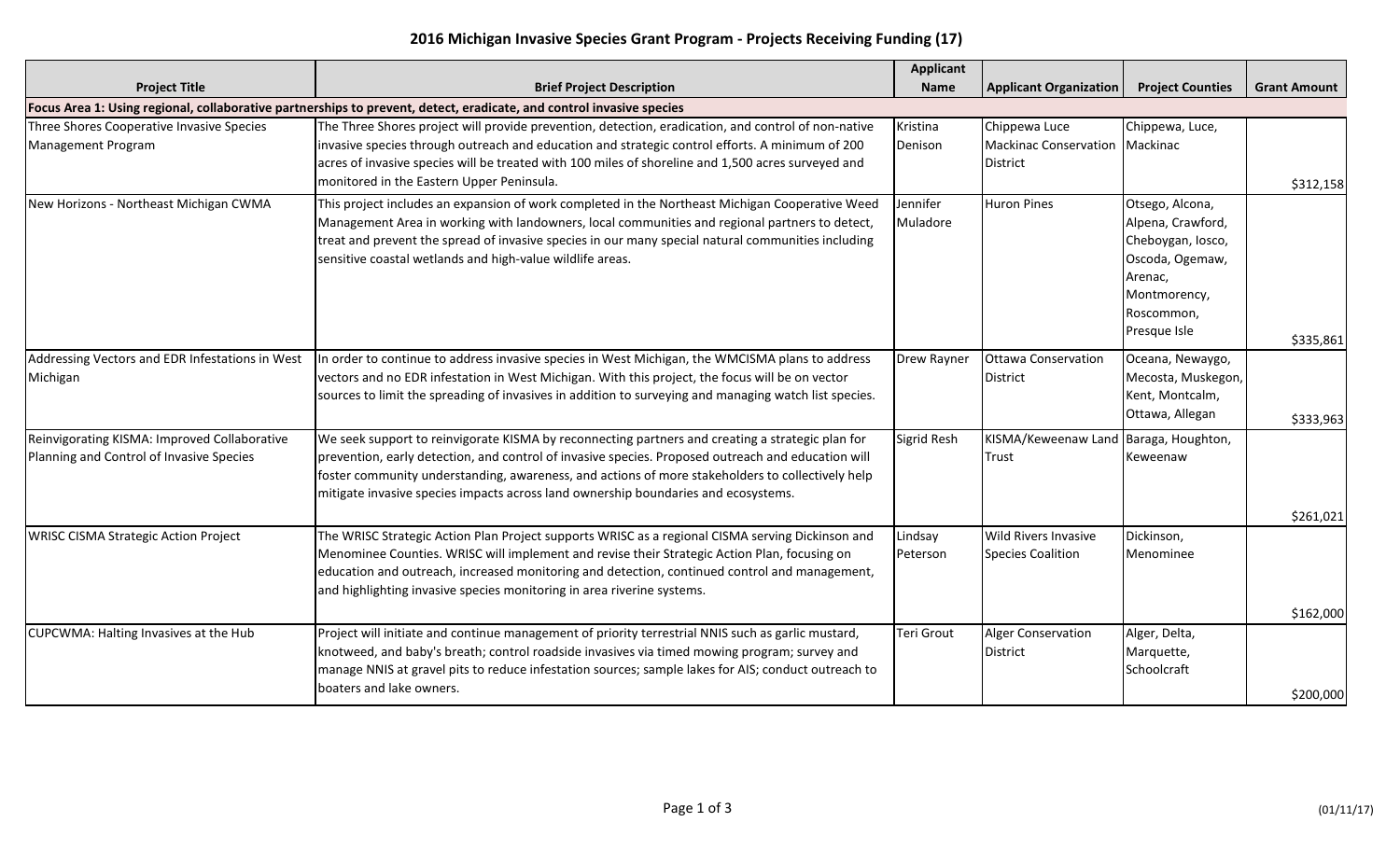## **2016 Michigan Invasive Species Grant Program - Projects Receiving Funding (17)**

|                                                                                                                      |                                                                                                                                                                                                                                                                                                                                                                                                  | <b>Applicant</b>     |                                                             |                                                                                                                                       |                     |  |  |
|----------------------------------------------------------------------------------------------------------------------|--------------------------------------------------------------------------------------------------------------------------------------------------------------------------------------------------------------------------------------------------------------------------------------------------------------------------------------------------------------------------------------------------|----------------------|-------------------------------------------------------------|---------------------------------------------------------------------------------------------------------------------------------------|---------------------|--|--|
| <b>Project Title</b>                                                                                                 | <b>Brief Project Description</b>                                                                                                                                                                                                                                                                                                                                                                 | <b>Name</b>          | <b>Applicant Organization</b>                               | <b>Project Counties</b>                                                                                                               | <b>Grant Amount</b> |  |  |
| Focus Area 1: Using regional, collaborative partnerships to prevent, detect, eradicate, and control invasive species |                                                                                                                                                                                                                                                                                                                                                                                                  |                      |                                                             |                                                                                                                                       |                     |  |  |
| Three Shores Cooperative Invasive Species<br>Management Program                                                      | The Three Shores project will provide prevention, detection, eradication, and control of non-native<br>invasive species through outreach and education and strategic control efforts. A minimum of 200<br>acres of invasive species will be treated with 100 miles of shoreline and 1,500 acres surveyed and<br>monitored in the Eastern Upper Peninsula.                                        | Kristina<br>Denison  | Chippewa Luce<br>Mackinac Conservation Mackinac<br>District | Chippewa, Luce,                                                                                                                       | \$312,158           |  |  |
| New Horizons - Northeast Michigan CWMA                                                                               | This project includes an expansion of work completed in the Northeast Michigan Cooperative Weed<br>Management Area in working with landowners, local communities and regional partners to detect,<br>treat and prevent the spread of invasive species in our many special natural communities including<br>sensitive coastal wetlands and high-value wildlife areas.                             | Jennifer<br>Muladore | <b>Huron Pines</b>                                          | Otsego, Alcona,<br>Alpena, Crawford,<br>Cheboygan, Iosco,<br>Oscoda, Ogemaw,<br>Arenac,<br>Montmorency,<br>Roscommon,<br>Presque Isle | \$335,861           |  |  |
| Addressing Vectors and EDR Infestations in West<br>Michigan                                                          | In order to continue to address invasive species in West Michigan, the WMCISMA plans to address<br>vectors and no EDR infestation in West Michigan. With this project, the focus will be on vector<br>sources to limit the spreading of invasives in addition to surveying and managing watch list species.                                                                                      | <b>Drew Rayner</b>   | <b>Ottawa Conservation</b><br><b>District</b>               | Oceana, Newaygo,<br>Mecosta, Muskegon,<br>Kent, Montcalm,<br>Ottawa, Allegan                                                          | \$333,963           |  |  |
| Reinvigorating KISMA: Improved Collaborative<br>Planning and Control of Invasive Species                             | We seek support to reinvigorate KISMA by reconnecting partners and creating a strategic plan for<br>prevention, early detection, and control of invasive species. Proposed outreach and education will<br>foster community understanding, awareness, and actions of more stakeholders to collectively help<br>mitigate invasive species impacts across land ownership boundaries and ecosystems. | Sigrid Resh          | KISMA/Keweenaw Land Baraga, Houghton,<br>Trust              | Keweenaw                                                                                                                              | \$261,021           |  |  |
| <b>WRISC CISMA Strategic Action Project</b>                                                                          | The WRISC Strategic Action Plan Project supports WRISC as a regional CISMA serving Dickinson and<br>Menominee Counties. WRISC will implement and revise their Strategic Action Plan, focusing on<br>education and outreach, increased monitoring and detection, continued control and management,<br>and highlighting invasive species monitoring in area riverine systems.                      | Lindsay<br>Peterson  | <b>Wild Rivers Invasive</b><br>Species Coalition            | Dickinson,<br>Menominee                                                                                                               | \$162,000           |  |  |
| CUPCWMA: Halting Invasives at the Hub                                                                                | Project will initiate and continue management of priority terrestrial NNIS such as garlic mustard,<br>knotweed, and baby's breath; control roadside invasives via timed mowing program; survey and<br>manage NNIS at gravel pits to reduce infestation sources; sample lakes for AIS; conduct outreach to<br>boaters and lake owners.                                                            | <b>Teri Grout</b>    | Alger Conservation<br>District                              | Alger, Delta,<br>Marquette,<br>Schoolcraft                                                                                            | \$200,000           |  |  |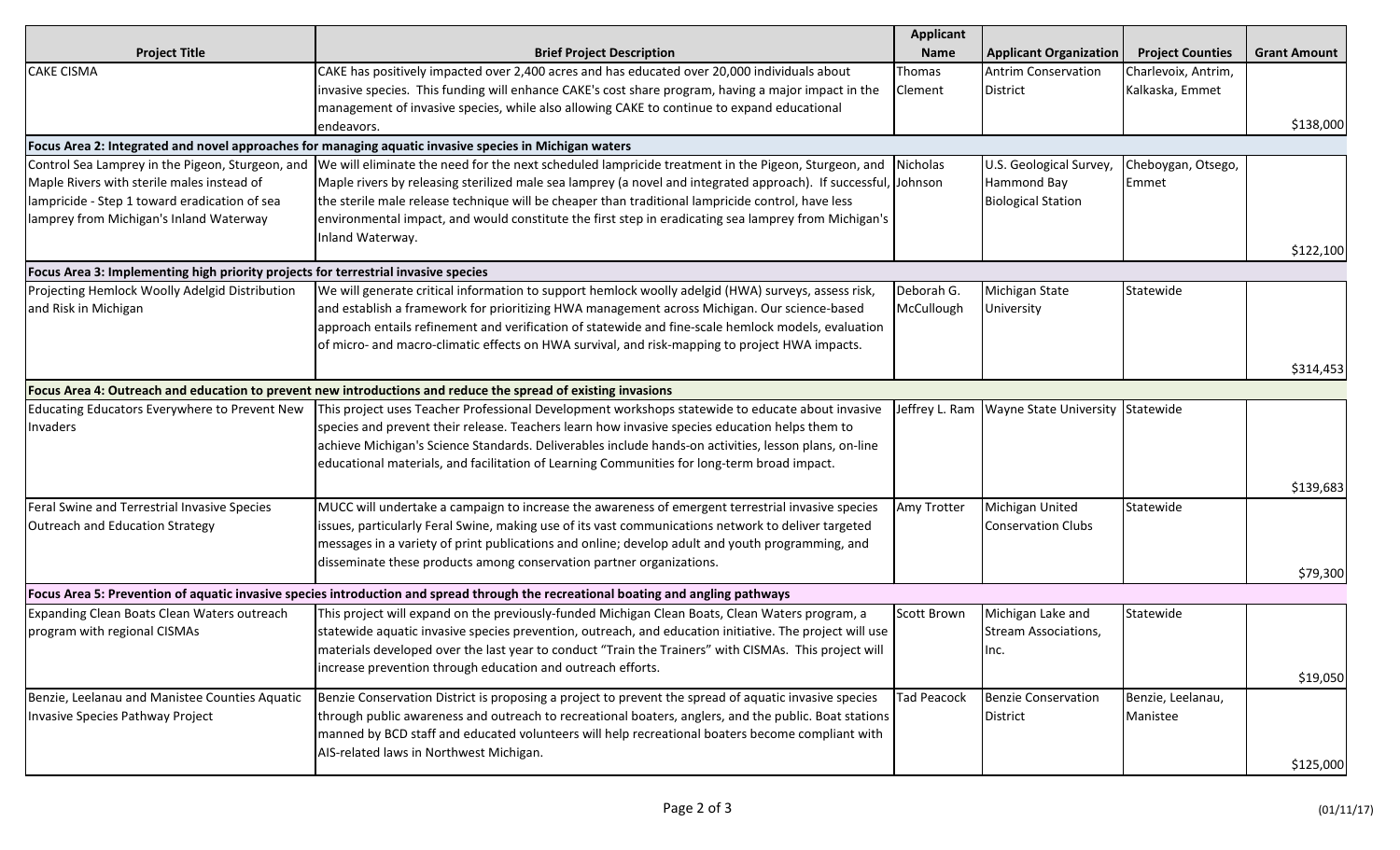|                                                                                    |                                                                                                                                    | <b>Applicant</b>   |                                                   |                         |                     |
|------------------------------------------------------------------------------------|------------------------------------------------------------------------------------------------------------------------------------|--------------------|---------------------------------------------------|-------------------------|---------------------|
| <b>Project Title</b>                                                               | <b>Brief Project Description</b>                                                                                                   | <b>Name</b>        | <b>Applicant Organization</b>                     | <b>Project Counties</b> | <b>Grant Amount</b> |
| <b>CAKE CISMA</b>                                                                  | CAKE has positively impacted over 2,400 acres and has educated over 20,000 individuals about                                       | Thomas             | <b>Antrim Conservation</b>                        | Charlevoix, Antrim,     |                     |
|                                                                                    | invasive species. This funding will enhance CAKE's cost share program, having a major impact in the                                | <b>Clement</b>     | District                                          | Kalkaska, Emmet         |                     |
|                                                                                    | management of invasive species, while also allowing CAKE to continue to expand educational                                         |                    |                                                   |                         |                     |
|                                                                                    | endeavors.                                                                                                                         |                    |                                                   |                         | \$138,000           |
|                                                                                    | Focus Area 2: Integrated and novel approaches for managing aquatic invasive species in Michigan waters                             |                    |                                                   |                         |                     |
| Control Sea Lamprey in the Pigeon, Sturgeon, and                                   | We will eliminate the need for the next scheduled lampricide treatment in the Pigeon, Sturgeon, and                                | Nicholas           | U.S. Geological Survey,                           | Cheboygan, Otsego,      |                     |
| Maple Rivers with sterile males instead of                                         | Maple rivers by releasing sterilized male sea lamprey (a novel and integrated approach). If successful, Johnson                    |                    | Hammond Bay                                       | Emmet                   |                     |
| lampricide - Step 1 toward eradication of sea                                      | the sterile male release technique will be cheaper than traditional lampricide control, have less                                  |                    | <b>Biological Station</b>                         |                         |                     |
| lamprey from Michigan's Inland Waterway                                            | environmental impact, and would constitute the first step in eradicating sea lamprey from Michigan's                               |                    |                                                   |                         |                     |
|                                                                                    | Inland Waterway.                                                                                                                   |                    |                                                   |                         |                     |
|                                                                                    |                                                                                                                                    |                    |                                                   |                         | \$122,100           |
| Focus Area 3: Implementing high priority projects for terrestrial invasive species |                                                                                                                                    |                    |                                                   |                         |                     |
| Projecting Hemlock Woolly Adelgid Distribution                                     | We will generate critical information to support hemlock woolly adelgid (HWA) surveys, assess risk,                                | Deborah G.         | Michigan State                                    | Statewide               |                     |
| and Risk in Michigan                                                               | and establish a framework for prioritizing HWA management across Michigan. Our science-based                                       | McCullough         | University                                        |                         |                     |
|                                                                                    | approach entails refinement and verification of statewide and fine-scale hemlock models, evaluation                                |                    |                                                   |                         |                     |
|                                                                                    | of micro- and macro-climatic effects on HWA survival, and risk-mapping to project HWA impacts.                                     |                    |                                                   |                         |                     |
|                                                                                    |                                                                                                                                    |                    |                                                   |                         | \$314,453           |
|                                                                                    | Focus Area 4: Outreach and education to prevent new introductions and reduce the spread of existing invasions                      |                    |                                                   |                         |                     |
| Educating Educators Everywhere to Prevent New                                      | This project uses Teacher Professional Development workshops statewide to educate about invasive                                   |                    | Jeffrey L. Ram   Wayne State University Statewide |                         |                     |
| Invaders                                                                           | species and prevent their release. Teachers learn how invasive species education helps them to                                     |                    |                                                   |                         |                     |
|                                                                                    | achieve Michigan's Science Standards. Deliverables include hands-on activities, lesson plans, on-line                              |                    |                                                   |                         |                     |
|                                                                                    | educational materials, and facilitation of Learning Communities for long-term broad impact.                                        |                    |                                                   |                         |                     |
|                                                                                    |                                                                                                                                    |                    |                                                   |                         | \$139,683           |
| Feral Swine and Terrestrial Invasive Species                                       | MUCC will undertake a campaign to increase the awareness of emergent terrestrial invasive species                                  | Amy Trotter        | Michigan United                                   | Statewide               |                     |
| Outreach and Education Strategy                                                    | issues, particularly Feral Swine, making use of its vast communications network to deliver targeted                                |                    | <b>Conservation Clubs</b>                         |                         |                     |
|                                                                                    | messages in a variety of print publications and online; develop adult and youth programming, and                                   |                    |                                                   |                         |                     |
|                                                                                    | disseminate these products among conservation partner organizations.                                                               |                    |                                                   |                         |                     |
|                                                                                    |                                                                                                                                    |                    |                                                   |                         | \$79,300            |
|                                                                                    | Focus Area 5: Prevention of aquatic invasive species introduction and spread through the recreational boating and angling pathways |                    |                                                   |                         |                     |
| Expanding Clean Boats Clean Waters outreach                                        | This project will expand on the previously-funded Michigan Clean Boats, Clean Waters program, a                                    | Scott Brown        | Michigan Lake and                                 | Statewide               |                     |
| program with regional CISMAs                                                       | statewide aquatic invasive species prevention, outreach, and education initiative. The project will use                            |                    | Stream Associations,                              |                         |                     |
|                                                                                    | materials developed over the last year to conduct "Train the Trainers" with CISMAs. This project will                              |                    | Inc.                                              |                         |                     |
|                                                                                    | increase prevention through education and outreach efforts.                                                                        |                    |                                                   |                         |                     |
|                                                                                    |                                                                                                                                    |                    |                                                   |                         | \$19,050            |
| Benzie, Leelanau and Manistee Counties Aquatic                                     | Benzie Conservation District is proposing a project to prevent the spread of aquatic invasive species                              | <b>Tad Peacock</b> | Benzie Conservation                               | Benzie, Leelanau,       |                     |
| Invasive Species Pathway Project                                                   | through public awareness and outreach to recreational boaters, anglers, and the public. Boat stations                              |                    | District                                          | Manistee                |                     |
|                                                                                    | manned by BCD staff and educated volunteers will help recreational boaters become compliant with                                   |                    |                                                   |                         |                     |
|                                                                                    | AIS-related laws in Northwest Michigan.                                                                                            |                    |                                                   |                         | \$125,000           |
|                                                                                    |                                                                                                                                    |                    |                                                   |                         |                     |